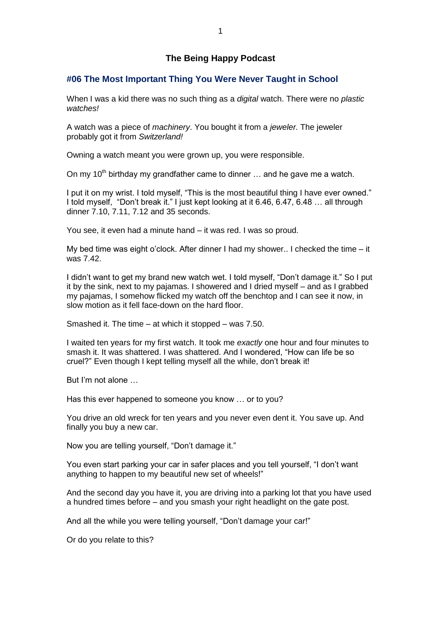# **The Being Happy Podcast**

# **#06 The Most Important Thing You Were Never Taught in School**

When I was a kid there was no such thing as a *digital* watch. There were no *plastic watches!*

A watch was a piece of *machinery*. You bought it from a *jeweler.* The jeweler probably got it from *Switzerland!*

Owning a watch meant you were grown up, you were responsible.

On my 10<sup>th</sup> birthday my grandfather came to dinner  $\ldots$  and he gave me a watch.

I put it on my wrist. I told myself, "This is the most beautiful thing I have ever owned." I told myself, "Don't break it." I just kept looking at it 6.46, 6.47, 6.48 … all through dinner 7.10, 7.11, 7.12 and 35 seconds.

You see, it even had a minute hand – it was red. I was so proud.

My bed time was eight o'clock. After dinner I had my shower.. I checked the time – it was 7.42.

I didn't want to get my brand new watch wet. I told myself, "Don't damage it." So I put it by the sink, next to my pajamas. I showered and I dried myself – and as I grabbed my pajamas, I somehow flicked my watch off the benchtop and I can see it now, in slow motion as it fell face-down on the hard floor.

Smashed it. The time – at which it stopped – was 7.50.

I waited ten years for my first watch. It took me *exactly* one hour and four minutes to smash it. It was shattered. I was shattered. And I wondered, "How can life be so cruel?" Even though I kept telling myself all the while, don't break it!

But I'm not alone …

Has this ever happened to someone you know … or to you?

You drive an old wreck for ten years and you never even dent it. You save up. And finally you buy a new car.

Now you are telling yourself, "Don't damage it."

You even start parking your car in safer places and you tell yourself, "I don't want anything to happen to my beautiful new set of wheels!"

And the second day you have it, you are driving into a parking lot that you have used a hundred times before – and you smash your right headlight on the gate post.

And all the while you were telling yourself, "Don't damage your car!"

Or do you relate to this?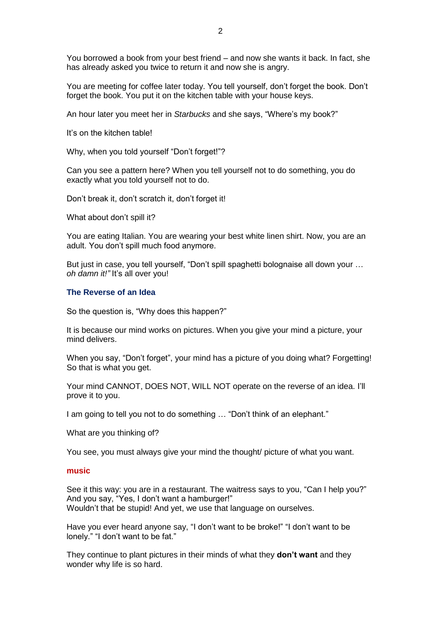You borrowed a book from your best friend – and now she wants it back. In fact, she has already asked you twice to return it and now she is angry.

You are meeting for coffee later today. You tell yourself, don't forget the book. Don't forget the book. You put it on the kitchen table with your house keys.

An hour later you meet her in *Starbucks* and she says, "Where's my book?"

It's on the kitchen table!

Why, when you told yourself "Don't forget!"?

Can you see a pattern here? When you tell yourself not to do something, you do exactly what you told yourself not to do.

Don't break it, don't scratch it, don't forget it!

What about don't spill it?

You are eating Italian. You are wearing your best white linen shirt. Now, you are an adult. You don't spill much food anymore.

But just in case, you tell yourself, "Don't spill spaghetti bolognaise all down your … *oh damn it!"* It's all over you!

#### **The Reverse of an Idea**

So the question is, "Why does this happen?"

It is because our mind works on pictures. When you give your mind a picture, your mind delivers.

When you say, "Don't forget", your mind has a picture of you doing what? Forgetting! So that is what you get.

Your mind CANNOT, DOES NOT, WILL NOT operate on the reverse of an idea. I'll prove it to you.

I am going to tell you not to do something … "Don't think of an elephant."

What are you thinking of?

You see, you must always give your mind the thought/ picture of what you want.

#### **music**

See it this way: you are in a restaurant. The waitress says to you, "Can I help you?" And you say, "Yes, I don't want a hamburger!" Wouldn't that be stupid! And yet, we use that language on ourselves.

Have you ever heard anyone say, "I don't want to be broke!" "I don't want to be lonely." "I don't want to be fat."

They continue to plant pictures in their minds of what they **don't want** and they wonder why life is so hard.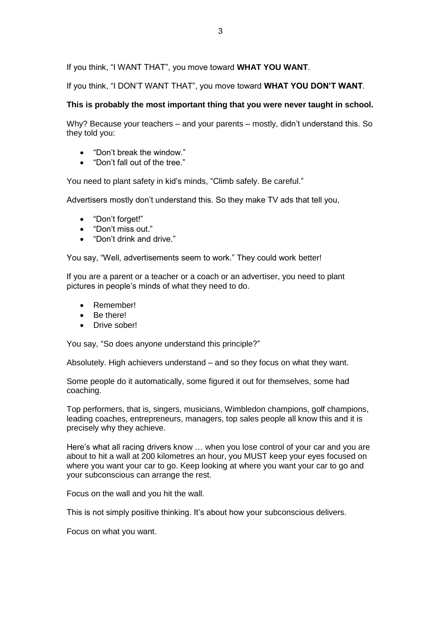If you think, "I WANT THAT", you move toward **WHAT YOU WANT**.

If you think, "I DON'T WANT THAT", you move toward **WHAT YOU DON'T WANT**.

# **This is probably the most important thing that you were never taught in school.**

Why? Because your teachers – and your parents – mostly, didn't understand this. So they told you:

- "Don't break the window."
- "Don't fall out of the tree."

You need to plant safety in kid's minds, "Climb safely. Be careful."

Advertisers mostly don't understand this. So they make TV ads that tell you,

- "Don't forget!"
- "Don't miss out."
- "Don't drink and drive."

You say, "Well, advertisements seem to work." They could work better!

If you are a parent or a teacher or a coach or an advertiser, you need to plant pictures in people's minds of what they need to do.

- Remember!
- Be there!
- Drive sober!

You say, "So does anyone understand this principle?"

Absolutely. High achievers understand – and so they focus on what they want.

Some people do it automatically, some figured it out for themselves, some had coaching.

Top performers, that is, singers, musicians, Wimbledon champions, golf champions, leading coaches, entrepreneurs, managers, top sales people all know this and it is precisely why they achieve.

Here's what all racing drivers know … when you lose control of your car and you are about to hit a wall at 200 kilometres an hour, you MUST keep your eyes focused on where you want your car to go. Keep looking at where you want your car to go and your subconscious can arrange the rest.

Focus on the wall and you hit the wall.

This is not simply positive thinking. It's about how your subconscious delivers.

Focus on what you want.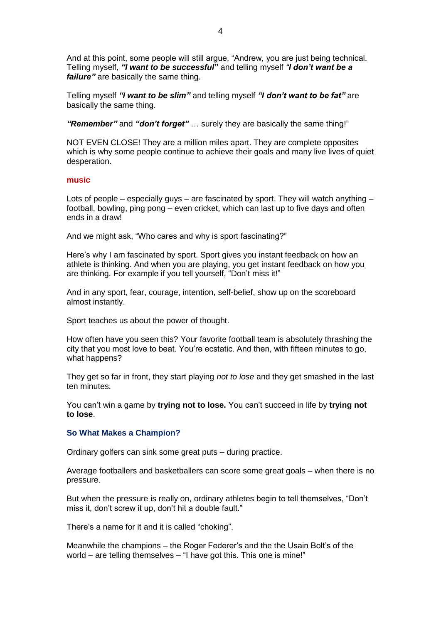And at this point, some people will still argue, "Andrew, you are just being technical. Telling myself, *"I want to be successful***"** and telling myself *"I don't want be a failure"* are basically the same thing.

Telling myself *"I want to be slim"* and telling myself *"I don't want to be fat"* are basically the same thing.

*"Remember"* and *"don't forget"* … surely they are basically the same thing!"

NOT EVEN CLOSE! They are a million miles apart. They are complete opposites which is why some people continue to achieve their goals and many live lives of quiet desperation.

### **music**

Lots of people – especially guys – are fascinated by sport. They will watch anything – football, bowling, ping pong – even cricket, which can last up to five days and often ends in a draw!

And we might ask, "Who cares and why is sport fascinating?"

Here's why I am fascinated by sport. Sport gives you instant feedback on how an athlete is thinking. And when you are playing, you get instant feedback on how you are thinking. For example if you tell yourself, "Don't miss it!"

And in any sport, fear, courage, intention, self-belief, show up on the scoreboard almost instantly.

Sport teaches us about the power of thought.

How often have you seen this? Your favorite football team is absolutely thrashing the city that you most love to beat. You're ecstatic. And then, with fifteen minutes to go, what happens?

They get so far in front, they start playing *not to lose* and they get smashed in the last ten minutes.

You can't win a game by **trying not to lose.** You can't succeed in life by **trying not to lose**.

### **So What Makes a Champion?**

Ordinary golfers can sink some great puts – during practice.

Average footballers and basketballers can score some great goals – when there is no pressure.

But when the pressure is really on, ordinary athletes begin to tell themselves, "Don't miss it, don't screw it up, don't hit a double fault."

There's a name for it and it is called "choking".

Meanwhile the champions – the Roger Federer's and the the Usain Bolt's of the world – are telling themselves – "I have got this. This one is mine!"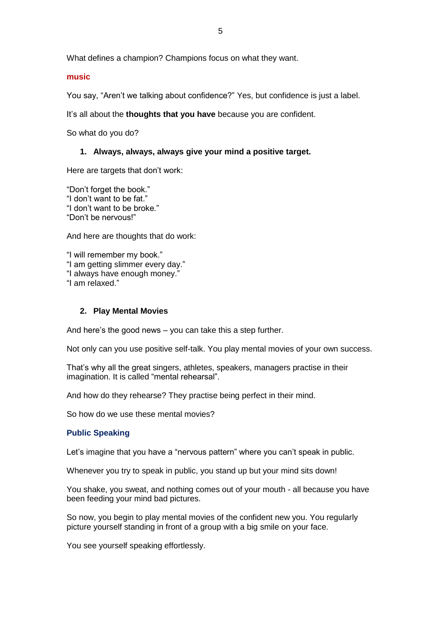What defines a champion? Champions focus on what they want.

### **music**

You say, "Aren't we talking about confidence?" Yes, but confidence is just a label.

It's all about the **thoughts that you have** because you are confident.

So what do you do?

### **1. Always, always, always give your mind a positive target.**

Here are targets that don't work:

"Don't forget the book." "I don't want to be fat." "I don't want to be broke." "Don't be nervous!"

And here are thoughts that do work:

"I will remember my book." "I am getting slimmer every day." "I always have enough money." "I am relaxed."

# **2. Play Mental Movies**

And here's the good news – you can take this a step further.

Not only can you use positive self-talk. You play mental movies of your own success.

That's why all the great singers, athletes, speakers, managers practise in their imagination. It is called "mental rehearsal".

And how do they rehearse? They practise being perfect in their mind.

So how do we use these mental movies?

# **Public Speaking**

Let's imagine that you have a "nervous pattern" where you can't speak in public.

Whenever you try to speak in public, you stand up but your mind sits down!

You shake, you sweat, and nothing comes out of your mouth - all because you have been feeding your mind bad pictures.

So now, you begin to play mental movies of the confident new you. You regularly picture yourself standing in front of a group with a big smile on your face.

You see yourself speaking effortlessly.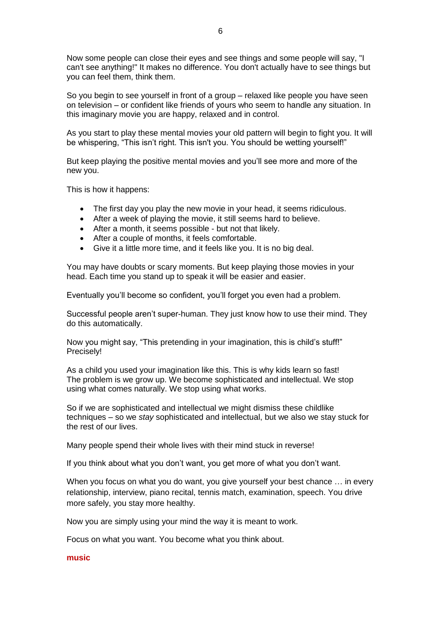Now some people can close their eyes and see things and some people will say, "I can't see anything!" It makes no difference. You don't actually have to see things but you can feel them, think them.

So you begin to see yourself in front of a group – relaxed like people you have seen on television – or confident like friends of yours who seem to handle any situation. In this imaginary movie you are happy, relaxed and in control.

As you start to play these mental movies your old pattern will begin to fight you. It will be whispering, "This isn't right. This isn't you. You should be wetting yourself!"

But keep playing the positive mental movies and you'll see more and more of the new you.

This is how it happens:

- The first day you play the new movie in your head, it seems ridiculous.
- After a week of playing the movie, it still seems hard to believe.
- After a month, it seems possible but not that likely.
- After a couple of months, it feels comfortable.
- Give it a little more time, and it feels like you. It is no big deal.

You may have doubts or scary moments. But keep playing those movies in your head. Each time you stand up to speak it will be easier and easier.

Eventually you'll become so confident, you'll forget you even had a problem.

Successful people aren't super-human. They just know how to use their mind. They do this automatically.

Now you might say, "This pretending in your imagination, this is child's stuff!" Precisely!

As a child you used your imagination like this. This is why kids learn so fast! The problem is we grow up. We become sophisticated and intellectual. We stop using what comes naturally. We stop using what works.

So if we are sophisticated and intellectual we might dismiss these childlike techniques – so we *stay* sophisticated and intellectual, but we also we stay stuck for the rest of our lives.

Many people spend their whole lives with their mind stuck in reverse!

If you think about what you don't want, you get more of what you don't want.

When you focus on what you do want, you give yourself your best chance ... in every relationship, interview, piano recital, tennis match, examination, speech. You drive more safely, you stay more healthy.

Now you are simply using your mind the way it is meant to work.

Focus on what you want. You become what you think about.

### **music**